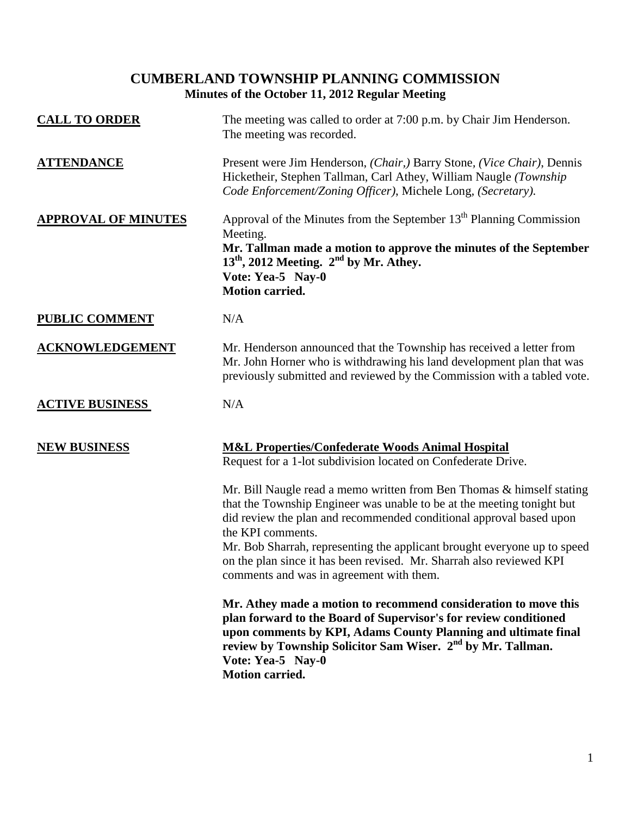# **CUMBERLAND TOWNSHIP PLANNING COMMISSION Minutes of the October 11, 2012 Regular Meeting**

| <b>CALL TO ORDER</b>       | The meeting was called to order at 7:00 p.m. by Chair Jim Henderson.<br>The meeting was recorded.                                                                                                                                                                                                                                                                                                                                           |
|----------------------------|---------------------------------------------------------------------------------------------------------------------------------------------------------------------------------------------------------------------------------------------------------------------------------------------------------------------------------------------------------------------------------------------------------------------------------------------|
| <b>ATTENDANCE</b>          | Present were Jim Henderson, (Chair,) Barry Stone, (Vice Chair), Dennis<br>Hicketheir, Stephen Tallman, Carl Athey, William Naugle (Township<br>Code Enforcement/Zoning Officer), Michele Long, (Secretary).                                                                                                                                                                                                                                 |
| <b>APPROVAL OF MINUTES</b> | Approval of the Minutes from the September 13 <sup>th</sup> Planning Commission<br>Meeting.<br>Mr. Tallman made a motion to approve the minutes of the September<br>$13th$ , 2012 Meeting. $2nd$ by Mr. Athey.<br>Vote: Yea-5 Nay-0<br><b>Motion carried.</b>                                                                                                                                                                               |
| <b>PUBLIC COMMENT</b>      | N/A                                                                                                                                                                                                                                                                                                                                                                                                                                         |
| <b>ACKNOWLEDGEMENT</b>     | Mr. Henderson announced that the Township has received a letter from<br>Mr. John Horner who is withdrawing his land development plan that was<br>previously submitted and reviewed by the Commission with a tabled vote.                                                                                                                                                                                                                    |
| <b>ACTIVE BUSINESS</b>     | N/A                                                                                                                                                                                                                                                                                                                                                                                                                                         |
| <b>NEW BUSINESS</b>        | <b>M&amp;L Properties/Confederate Woods Animal Hospital</b><br>Request for a 1-lot subdivision located on Confederate Drive.                                                                                                                                                                                                                                                                                                                |
|                            | Mr. Bill Naugle read a memo written from Ben Thomas & himself stating<br>that the Township Engineer was unable to be at the meeting tonight but<br>did review the plan and recommended conditional approval based upon<br>the KPI comments.<br>Mr. Bob Sharrah, representing the applicant brought everyone up to speed<br>on the plan since it has been revised. Mr. Sharrah also reviewed KPI<br>comments and was in agreement with them. |
|                            | Mr. Athey made a motion to recommend consideration to move this<br>plan forward to the Board of Supervisor's for review conditioned<br>upon comments by KPI, Adams County Planning and ultimate final<br>review by Township Solicitor Sam Wiser. 2 <sup>nd</sup> by Mr. Tallman.<br>Vote: Yea-5 Nay-0<br><b>Motion carried.</b>                                                                                                             |